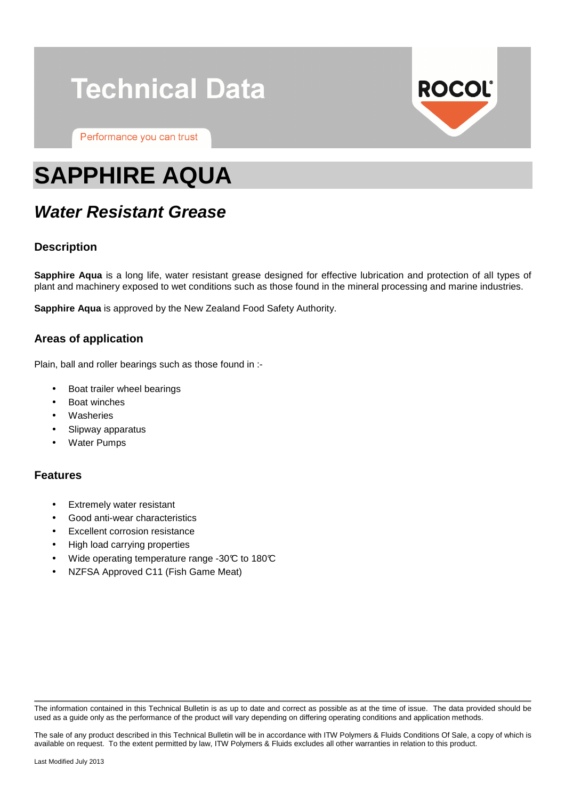# **Technical Data**

Performance you can trust



# **SAPPHIRE AQUA**

# **Water Resistant Grease**

# **Description**

**Sapphire Aqua** is a long life, water resistant grease designed for effective lubrication and protection of all types of plant and machinery exposed to wet conditions such as those found in the mineral processing and marine industries.

**Sapphire Aqua** is approved by the New Zealand Food Safety Authority.

## **Areas of application**

Plain, ball and roller bearings such as those found in :-

- Boat trailer wheel bearings
- Boat winches
- **Washeries**
- Slipway apparatus
- **Water Pumps**

## **Features**

- **Extremely water resistant**
- Good anti-wear characteristics
- **Excellent corrosion resistance**
- High load carrying properties
- Wide operating temperature range -30 $\mathbb C$  to 180 $\mathbb C$
- NZFSA Approved C11 (Fish Game Meat)

The information contained in this Technical Bulletin is as up to date and correct as possible as at the time of issue. The data provided should be used as a guide only as the performance of the product will vary depending on differing operating conditions and application methods.

The sale of any product described in this Technical Bulletin will be in accordance with ITW Polymers & Fluids Conditions Of Sale, a copy of which is available on request. To the extent permitted by law, ITW Polymers & Fluids excludes all other warranties in relation to this product.